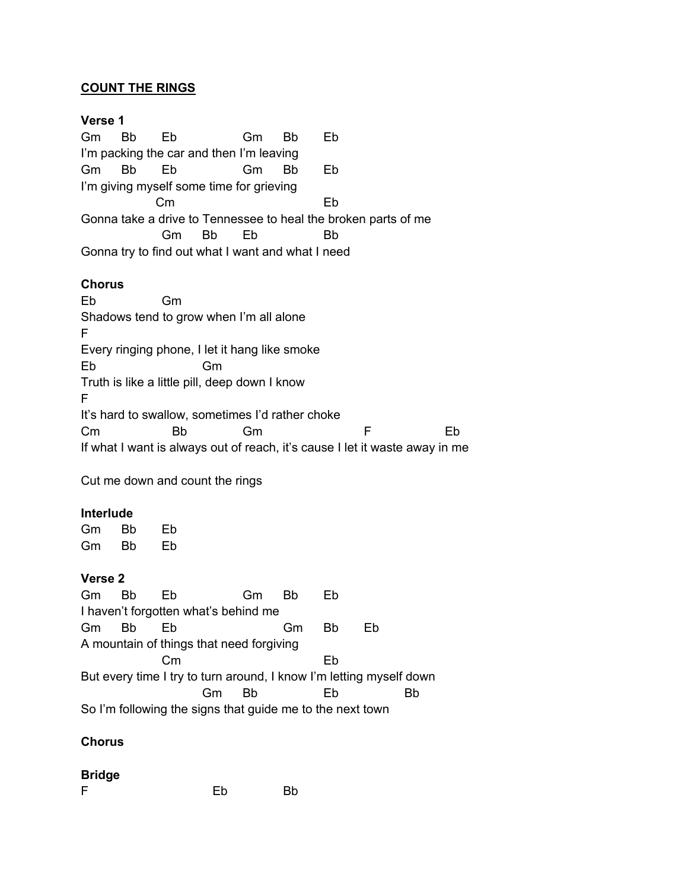## **COUNT THE RINGS**

**Verse 1** Gm Bb Eb Gm Bb Eb I'm packing the car and then I'm leaving Gm Bb Eb Gm Bb Eb I'm giving myself some time for grieving Cm Eb Gonna take a drive to Tennessee to heal the broken parts of me Gm Bb Eb Bb Gonna try to find out what I want and what I need

#### **Chorus**

Eb Gm Shadows tend to grow when I'm all alone F Every ringing phone, I let it hang like smoke Eb Gm Truth is like a little pill, deep down I know F It's hard to swallow, sometimes I'd rather choke Cm Bb Gm F Eb If what I want is always out of reach, it's cause I let it waste away in me

Cut me down and count the rings

#### **Interlude**

Gm Bb Eb Gm Bb Eb

#### **Verse 2**

| Gm                                                                  | Bb | Fh |    | Gm | Вb | Fh |    |    |
|---------------------------------------------------------------------|----|----|----|----|----|----|----|----|
| I haven't forgotten what's behind me                                |    |    |    |    |    |    |    |    |
| Gm                                                                  | Bb | Fh |    |    | Gm | Bb | Eb |    |
| A mountain of things that need forgiving                            |    |    |    |    |    |    |    |    |
|                                                                     |    | Сm |    |    |    | Fh |    |    |
| But every time I try to turn around, I know I'm letting myself down |    |    |    |    |    |    |    |    |
|                                                                     |    |    | Gm | Вb |    | Fh |    | Bb |
| So I'm following the signs that guide me to the next town           |    |    |    |    |    |    |    |    |

# **Chorus**

| <b>Bridge</b> |    |           |
|---------------|----|-----------|
| E             | Eb | <b>Bb</b> |